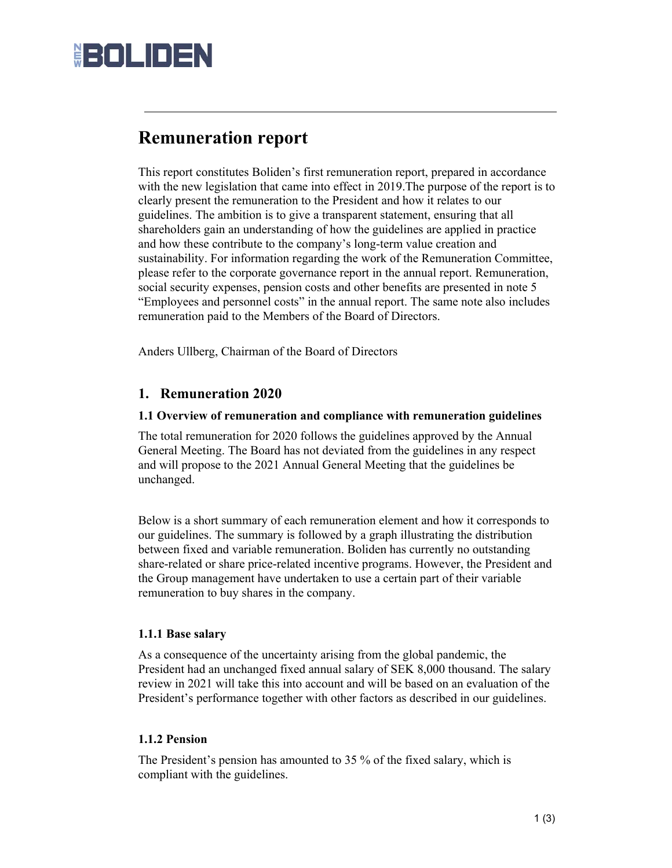# **HOLIDEN**

# **Remuneration report**

This report constitutes Boliden's first remuneration report, prepared in accordance with the new legislation that came into effect in 2019.The purpose of the report is to clearly present the remuneration to the President and how it relates to our guidelines. The ambition is to give a transparent statement, ensuring that all shareholders gain an understanding of how the guidelines are applied in practice and how these contribute to the company's long-term value creation and sustainability. For information regarding the work of the Remuneration Committee, please refer to the corporate governance report in the annual report. Remuneration, social security expenses, pension costs and other benefits are presented in note 5 "Employees and personnel costs" in the annual report. The same note also includes remuneration paid to the Members of the Board of Directors.

Anders Ullberg, Chairman of the Board of Directors

## **1. Remuneration 2020**

#### **1.1 Overview of remuneration and compliance with remuneration guidelines**

The total remuneration for 2020 follows the guidelines approved by the Annual General Meeting. The Board has not deviated from the guidelines in any respect and will propose to the 2021 Annual General Meeting that the guidelines be unchanged.

Below is a short summary of each remuneration element and how it corresponds to our guidelines. The summary is followed by a graph illustrating the distribution between fixed and variable remuneration. Boliden has currently no outstanding share-related or share price-related incentive programs. However, the President and the Group management have undertaken to use a certain part of their variable remuneration to buy shares in the company.

#### **1.1.1 Base salary**

As a consequence of the uncertainty arising from the global pandemic, the President had an unchanged fixed annual salary of SEK 8,000 thousand. The salary review in 2021 will take this into account and will be based on an evaluation of the President's performance together with other factors as described in our guidelines.

#### **1.1.2 Pension**

The President's pension has amounted to 35 % of the fixed salary, which is compliant with the guidelines.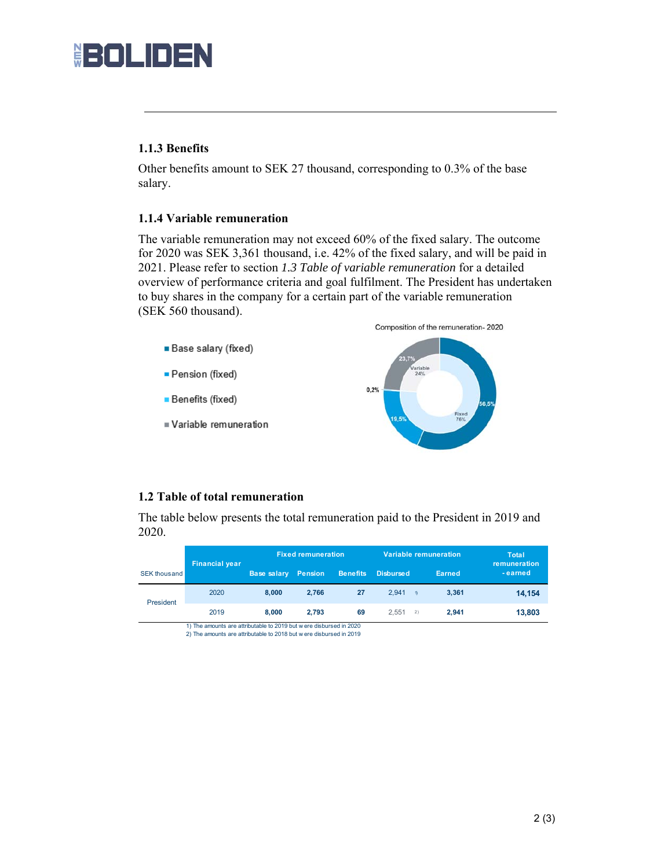# **BOLIDEN**

## **1.1.3 Benefits**

Other benefits amount to SEK 27 thousand, corresponding to 0.3% of the base salary.

### **1.1.4 Variable remuneration**

The variable remuneration may not exceed 60% of the fixed salary. The outcome for 2020 was SEK 3,361 thousand, i.e. 42% of the fixed salary, and will be paid in 2021. Please refer to section *1.3 Table of variable remuneration* for a detailed overview of performance criteria and goal fulfilment. The President has undertaken to buy shares in the company for a certain part of the variable remuneration (SEK 560 thousand).



### **1.2 Table of total remuneration**

The table below presents the total remuneration paid to the President in 2019 and 2020.

|                     | <b>Financial year</b> | <b>Fixed remuneration</b> |         |                 | Variable remuneration |                     | Total<br>remuneration |
|---------------------|-----------------------|---------------------------|---------|-----------------|-----------------------|---------------------|-----------------------|
| <b>SEK thousand</b> |                       | <b>Base salary</b>        | Pension | <b>Benefits</b> | <b>Disbursed</b>      | Earned              | - earned              |
| President           | 2020                  | 8.000                     | 2.766   | 27              | 2.941                 | 3.361<br>$\uparrow$ | 14,154                |
|                     | 2019                  | 8.000                     | 2.793   | 69              | 2.551                 | 2.941<br>2)         | 13,803                |

1) The amounts are attributable to 2019 but w ere disbursed in 2020 2) The amounts are attributable to 2018 but w ere disbursed in 2019